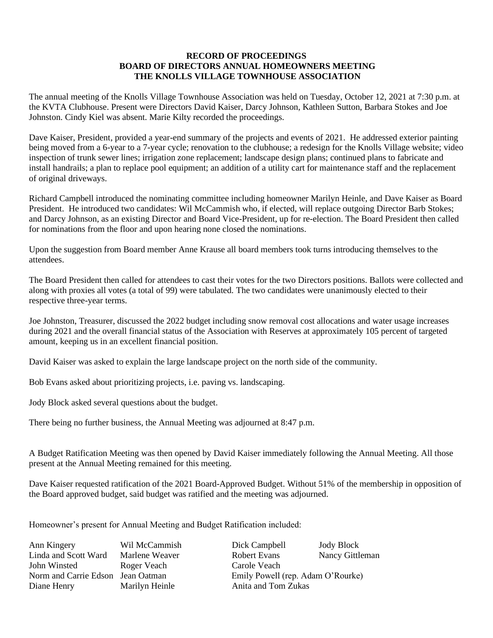## **RECORD OF PROCEEDINGS BOARD OF DIRECTORS ANNUAL HOMEOWNERS MEETING THE KNOLLS VILLAGE TOWNHOUSE ASSOCIATION**

The annual meeting of the Knolls Village Townhouse Association was held on Tuesday, October 12, 2021 at 7:30 p.m. at the KVTA Clubhouse. Present were Directors David Kaiser, Darcy Johnson, Kathleen Sutton, Barbara Stokes and Joe Johnston. Cindy Kiel was absent. Marie Kilty recorded the proceedings.

Dave Kaiser, President, provided a year-end summary of the projects and events of 2021. He addressed exterior painting being moved from a 6-year to a 7-year cycle; renovation to the clubhouse; a redesign for the Knolls Village website; video inspection of trunk sewer lines; irrigation zone replacement; landscape design plans; continued plans to fabricate and install handrails; a plan to replace pool equipment; an addition of a utility cart for maintenance staff and the replacement of original driveways.

Richard Campbell introduced the nominating committee including homeowner Marilyn Heinle, and Dave Kaiser as Board President. He introduced two candidates: Wil McCammish who, if elected, will replace outgoing Director Barb Stokes; and Darcy Johnson, as an existing Director and Board Vice-President, up for re-election. The Board President then called for nominations from the floor and upon hearing none closed the nominations.

Upon the suggestion from Board member Anne Krause all board members took turns introducing themselves to the attendees.

The Board President then called for attendees to cast their votes for the two Directors positions. Ballots were collected and along with proxies all votes (a total of 99) were tabulated. The two candidates were unanimously elected to their respective three-year terms.

Joe Johnston, Treasurer, discussed the 2022 budget including snow removal cost allocations and water usage increases during 2021 and the overall financial status of the Association with Reserves at approximately 105 percent of targeted amount, keeping us in an excellent financial position.

David Kaiser was asked to explain the large landscape project on the north side of the community.

Bob Evans asked about prioritizing projects, i.e. paving vs. landscaping.

Jody Block asked several questions about the budget.

There being no further business, the Annual Meeting was adjourned at 8:47 p.m.

A Budget Ratification Meeting was then opened by David Kaiser immediately following the Annual Meeting. All those present at the Annual Meeting remained for this meeting.

Dave Kaiser requested ratification of the 2021 Board-Approved Budget. Without 51% of the membership in opposition of the Board approved budget, said budget was ratified and the meeting was adjourned.

Homeowner's present for Annual Meeting and Budget Ratification included:

John Winsted Roger Veach Carole Veach Diane Henry Marilyn Heinle Anita and Tom Zukas

Ann Kingery Wil McCammish Dick Campbell Jody Block Linda and Scott Ward Marlene Weaver Robert Evans Nancy Gittleman Norm and Carrie Edson Jean Oatman Emily Powell (rep. Adam O'Rourke)